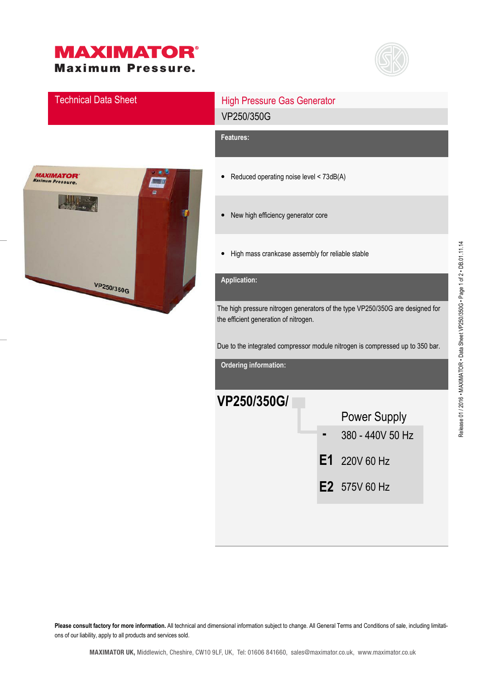# **MAXIMATOR®** Maximum Pressure.



### Technical Data Sheet High Pressure Gas Generator VP250/350G

# **MAXIMATOR** VP250/350G

## **Features:**

- Reduced operating noise level < 73dB(A)
- New high efficiency generator core
- High mass crankcase assembly for reliable stable

#### **Application:**

The high pressure nitrogen generators of the type VP250/350G are designed for the efficient generation of nitrogen.

Due to the integrated compressor module nitrogen is compressed up to 350 bar.





Please consult factory for more information. All technical and dimensional information subject to change. All General Terms and Conditions of sale, including limitations of our liability, apply to all products and services sold.